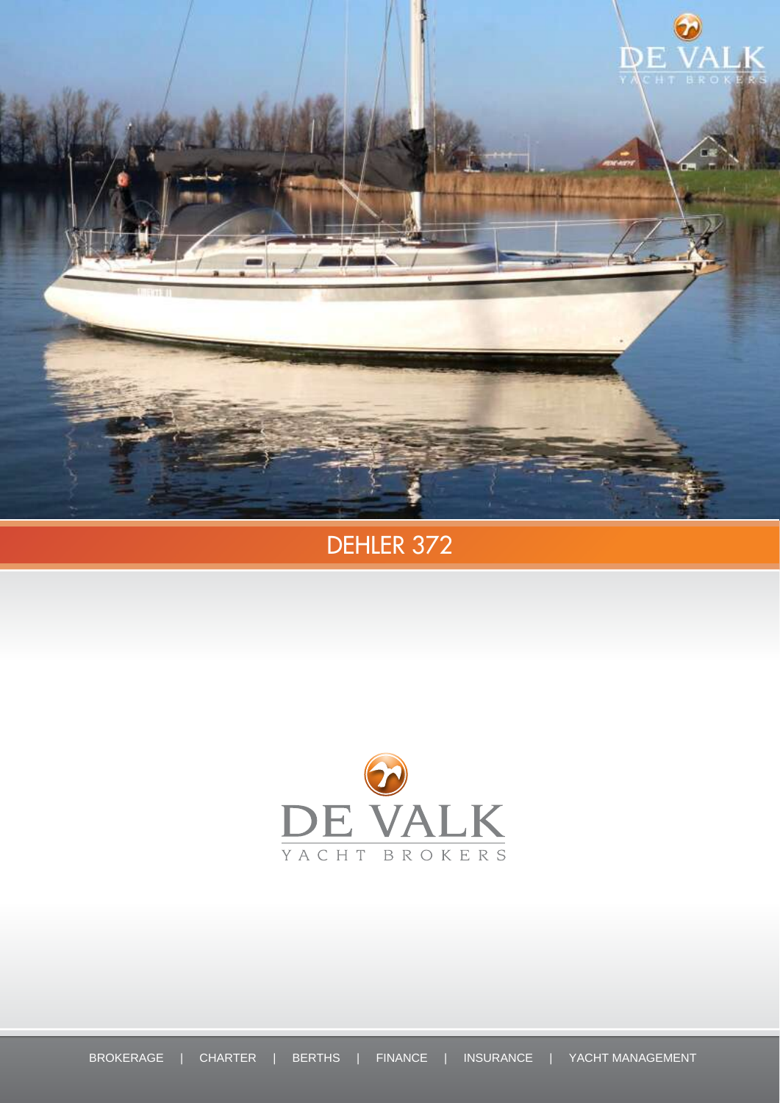

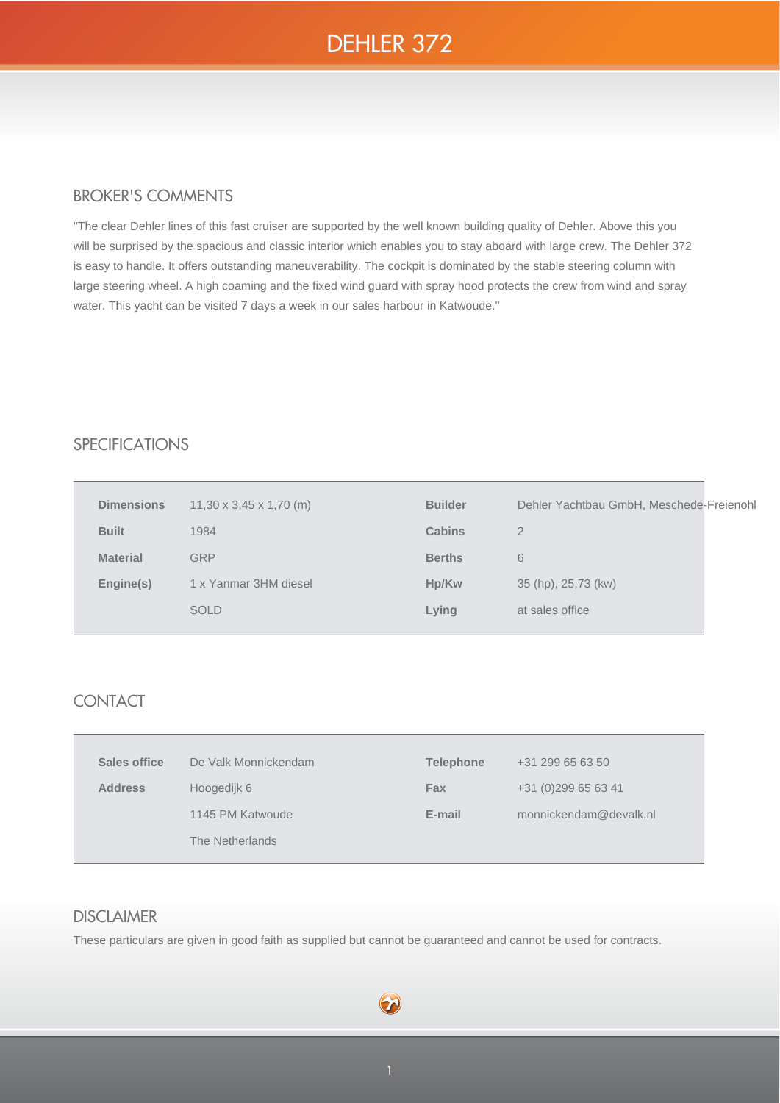

#### **BROKER'S COMMENTS**

''The clear Dehler lines of this fast cruiser are supported by the well known building quality of Dehler. Above this you will be surprised by the spacious and classic interior which enables you to stay aboard with large crew. The Dehler 372 is easy to handle. It offers outstanding maneuverability. The cockpit is dominated by the stable steering column with large steering wheel. A high coaming and the fixed wind guard with spray hood protects the crew from wind and spray water. This yacht can be visited 7 days a week in our sales harbour in Katwoude.''

#### **SPECIFICATIONS**

| <b>Dimensions</b> | $11,30 \times 3,45 \times 1,70 \ (m)$ | <b>Builder</b> | Dehler Yachtbau GmbH, Meschede-Freienohl |  |
|-------------------|---------------------------------------|----------------|------------------------------------------|--|
| <b>Built</b>      | 1984                                  | <b>Cabins</b>  | $\overline{2}$                           |  |
| <b>Material</b>   | <b>GRP</b>                            | <b>Berths</b>  | 6                                        |  |
| Engine(s)         | 1 x Yanmar 3HM diesel                 | Hp/Kw          | 35 (hp), 25,73 (kw)                      |  |
|                   | <b>SOLD</b>                           | Lying          | at sales office                          |  |
|                   |                                       |                |                                          |  |

#### **CONTACT**

| Sales office   | De Valk Monnickendam | <b>Telephone</b> | +31 299 65 63 50       |
|----------------|----------------------|------------------|------------------------|
| <b>Address</b> | Hoogedijk 6          | <b>Fax</b>       | +31 (0) 299 65 63 41   |
|                | 1145 PM Katwoude     | E-mail           | monnickendam@devalk.nl |
|                | The Netherlands      |                  |                        |

#### **DISCLAIMER**

These particulars are given in good faith as supplied but cannot be guaranteed and cannot be used for contracts.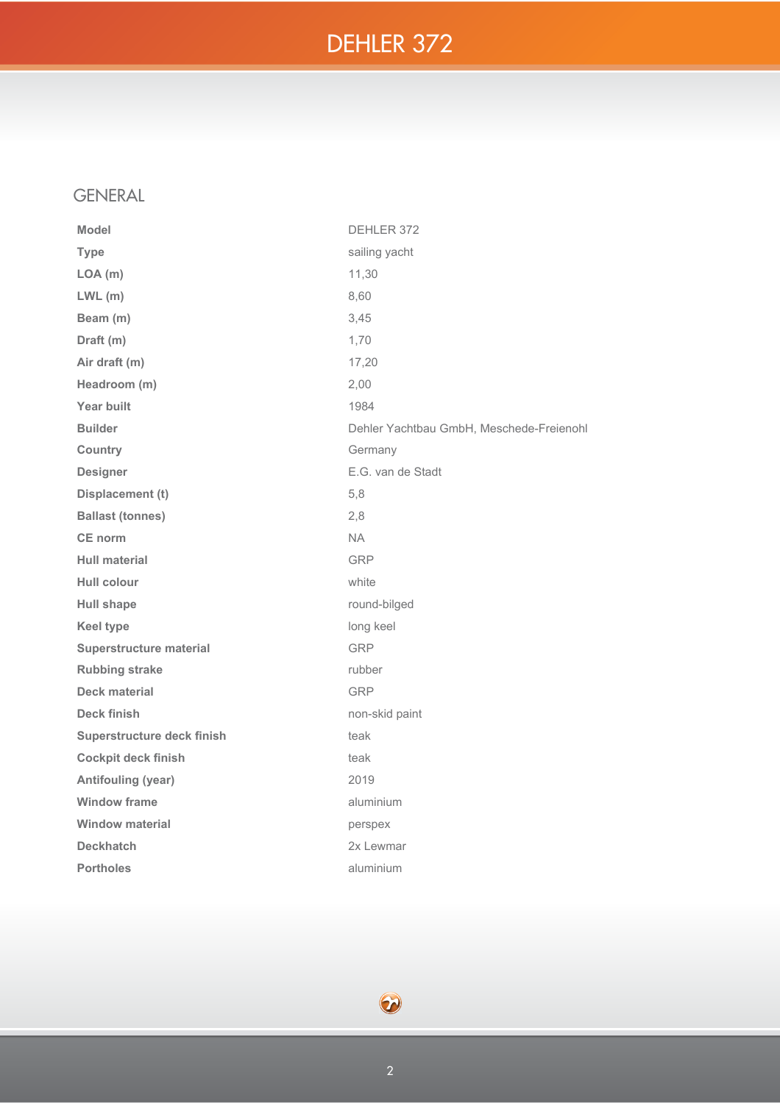### **GENERAL**

| <b>Model</b>                   | DEHLER 372                               |
|--------------------------------|------------------------------------------|
| <b>Type</b>                    | sailing yacht                            |
| $LOA$ (m)                      | 11,30                                    |
| $LWL$ (m)                      | 8,60                                     |
| Beam (m)                       | 3,45                                     |
| Draft (m)                      | 1,70                                     |
| Air draft (m)                  | 17,20                                    |
| Headroom (m)                   | 2,00                                     |
| Year built                     | 1984                                     |
| <b>Builder</b>                 | Dehler Yachtbau GmbH, Meschede-Freienohl |
| Country                        | Germany                                  |
| <b>Designer</b>                | E.G. van de Stadt                        |
| Displacement (t)               | 5,8                                      |
| <b>Ballast (tonnes)</b>        | 2,8                                      |
| <b>CE</b> norm                 | <b>NA</b>                                |
| <b>Hull material</b>           | <b>GRP</b>                               |
| <b>Hull colour</b>             | white                                    |
| <b>Hull shape</b>              | round-bilged                             |
| <b>Keel type</b>               | long keel                                |
| <b>Superstructure material</b> | <b>GRP</b>                               |
| <b>Rubbing strake</b>          | rubber                                   |
| Deck material                  | <b>GRP</b>                               |
| Deck finish                    | non-skid paint                           |
| Superstructure deck finish     | teak                                     |
| <b>Cockpit deck finish</b>     | teak                                     |
| Antifouling (year)             | 2019                                     |
| <b>Window frame</b>            | aluminium                                |
| <b>Window material</b>         | perspex                                  |
| <b>Deckhatch</b>               | 2x Lewmar                                |
| <b>Portholes</b>               | aluminium                                |
|                                |                                          |

 $\odot$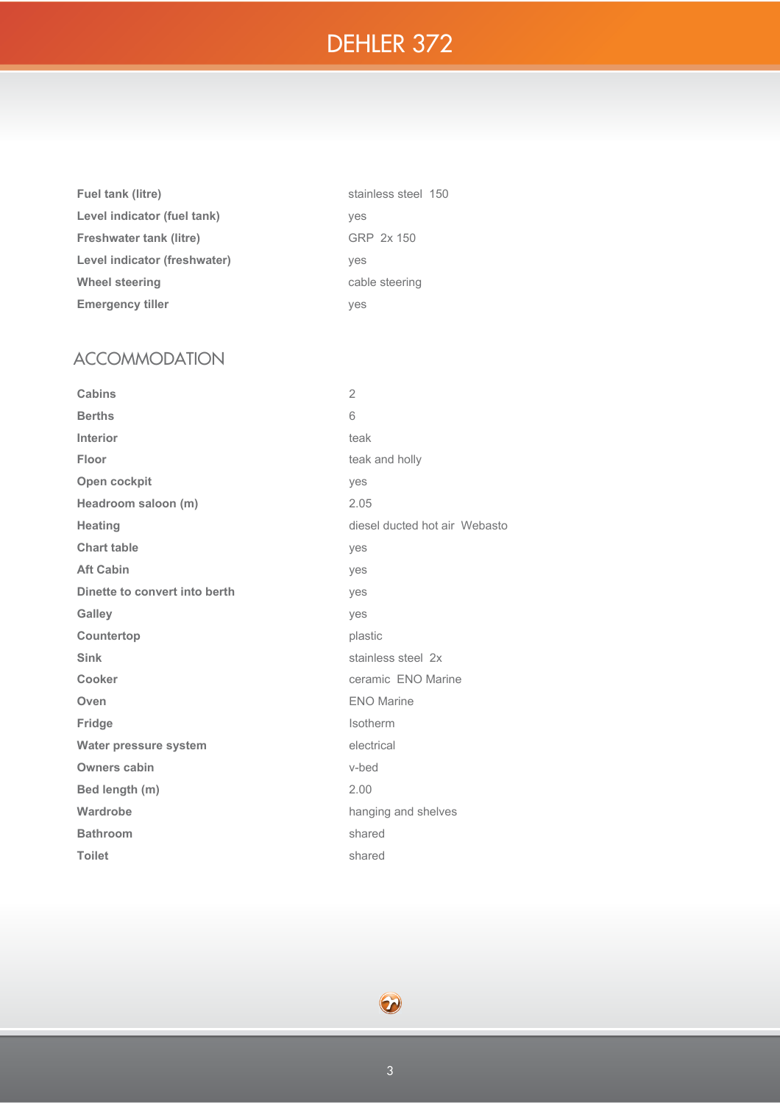| <b>Fuel tank (litre)</b>       | stainless steel 150 |  |
|--------------------------------|---------------------|--|
| Level indicator (fuel tank)    | yes                 |  |
| <b>Freshwater tank (litre)</b> | GRP 2x 150          |  |
| Level indicator (freshwater)   | ves                 |  |
| <b>Wheel steering</b>          | cable steering      |  |
| <b>Emergency tiller</b>        | ves                 |  |

### **ACCOMMODATION**

| Cabins                        | $\overline{2}$                |
|-------------------------------|-------------------------------|
| <b>Berths</b>                 | 6                             |
| Interior                      | teak                          |
| Floor                         | teak and holly                |
| Open cockpit                  | yes                           |
| Headroom saloon (m)           | 2.05                          |
| <b>Heating</b>                | diesel ducted hot air Webasto |
| <b>Chart table</b>            | yes                           |
| <b>Aft Cabin</b>              | yes                           |
| Dinette to convert into berth | yes                           |
| Galley                        | yes                           |
| Countertop                    | plastic                       |
| <b>Sink</b>                   | stainless steel 2x            |
| Cooker                        | ceramic ENO Marine            |
| Oven                          | <b>ENO Marine</b>             |
| <b>Fridge</b>                 | Isotherm                      |
| Water pressure system         | electrical                    |
| Owners cabin                  | v-bed                         |
| Bed length (m)                | 2.00                          |
|                               |                               |
| Wardrobe                      | hanging and shelves           |
| <b>Bathroom</b>               | shared                        |

 $\bigcirc$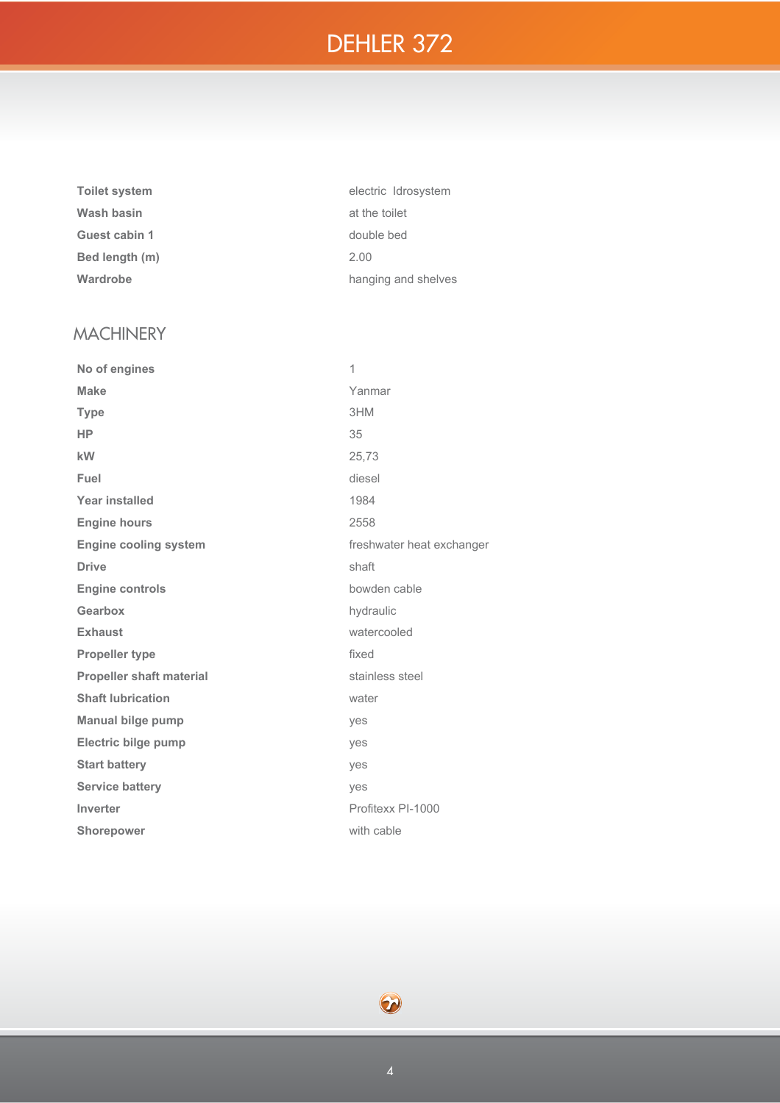| <b>Toilet system</b> | electric Idrosystem |
|----------------------|---------------------|
| Wash basin           | at the toilet       |
| Guest cabin 1        | double bed          |
| Bed length (m)       | 2.00                |
| Wardrobe             | hanging and shelves |

### **MACHINERY**

| No of engines                   | 1                         |
|---------------------------------|---------------------------|
| <b>Make</b>                     | Yanmar                    |
| <b>Type</b>                     | 3HM                       |
| <b>HP</b>                       | 35                        |
| kW                              | 25,73                     |
| Fuel                            | diesel                    |
| Year installed                  | 1984                      |
| <b>Engine hours</b>             | 2558                      |
| <b>Engine cooling system</b>    | freshwater heat exchanger |
| <b>Drive</b>                    | shaft                     |
| <b>Engine controls</b>          | bowden cable              |
| Gearbox                         | hydraulic                 |
| <b>Exhaust</b>                  | watercooled               |
| <b>Propeller type</b>           | fixed                     |
| <b>Propeller shaft material</b> | stainless steel           |
| <b>Shaft lubrication</b>        | water                     |
| <b>Manual bilge pump</b>        | yes                       |
| <b>Electric bilge pump</b>      | yes                       |
| <b>Start battery</b>            | yes                       |
| <b>Service battery</b>          | yes                       |
| Inverter                        | Profitexx PI-1000         |
| <b>Shorepower</b>               | with cable                |

 $\odot$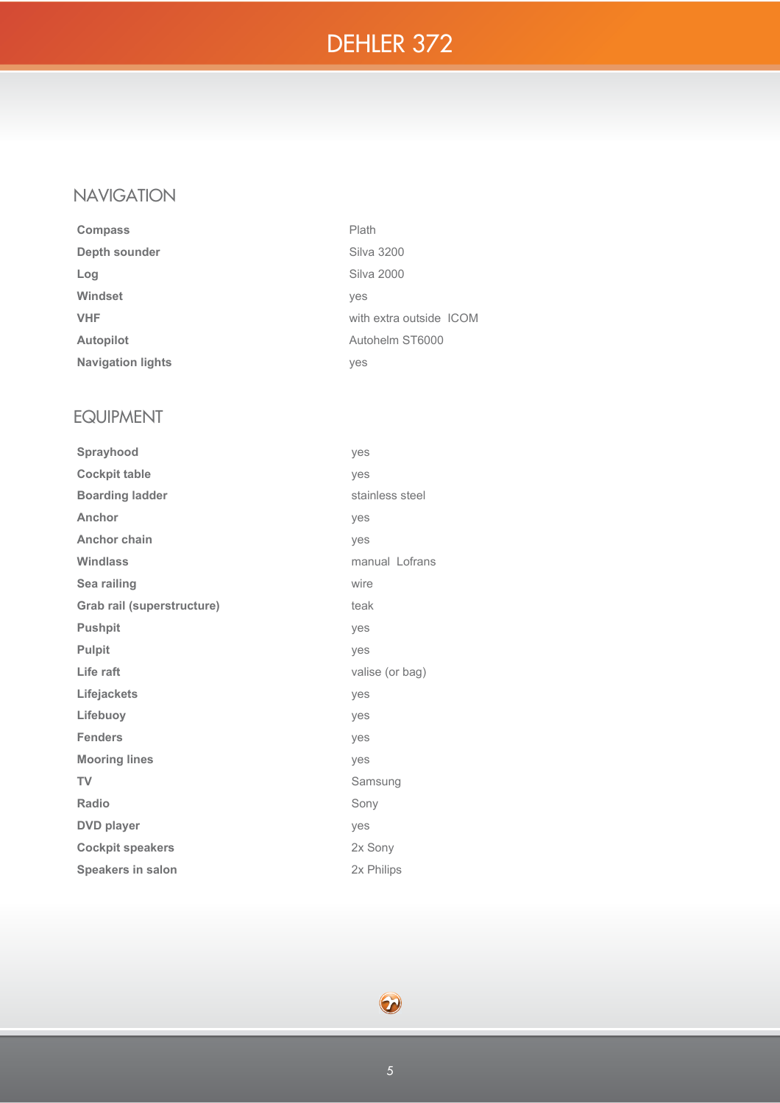### **NAVIGATION**

| <b>Compass</b>           | Plath                   |
|--------------------------|-------------------------|
| Depth sounder            | Silva 3200              |
| Log                      | Silva 2000              |
| Windset                  | yes                     |
| <b>VHF</b>               | with extra outside ICOM |
| <b>Autopilot</b>         | Autohelm ST6000         |
| <b>Navigation lights</b> | yes                     |

#### **EQUIPMENT**

| Sprayhood                  | yes             |
|----------------------------|-----------------|
| <b>Cockpit table</b>       | yes             |
| <b>Boarding ladder</b>     | stainless steel |
| Anchor                     | yes             |
| Anchor chain               | yes             |
| <b>Windlass</b>            | manual Lofrans  |
| Sea railing                | wire            |
| Grab rail (superstructure) | teak            |
| <b>Pushpit</b>             | yes             |
| <b>Pulpit</b>              | yes             |
| Life raft                  | valise (or bag) |
| Lifejackets                | yes             |
| Lifebuoy                   | yes             |
| <b>Fenders</b>             | yes             |
| <b>Mooring lines</b>       | yes             |
| TV                         | Samsung         |
| Radio                      | Sony            |
| <b>DVD</b> player          | yes             |
| <b>Cockpit speakers</b>    | 2x Sony         |
| Speakers in salon          | 2x Philips      |

 $\bigcirc$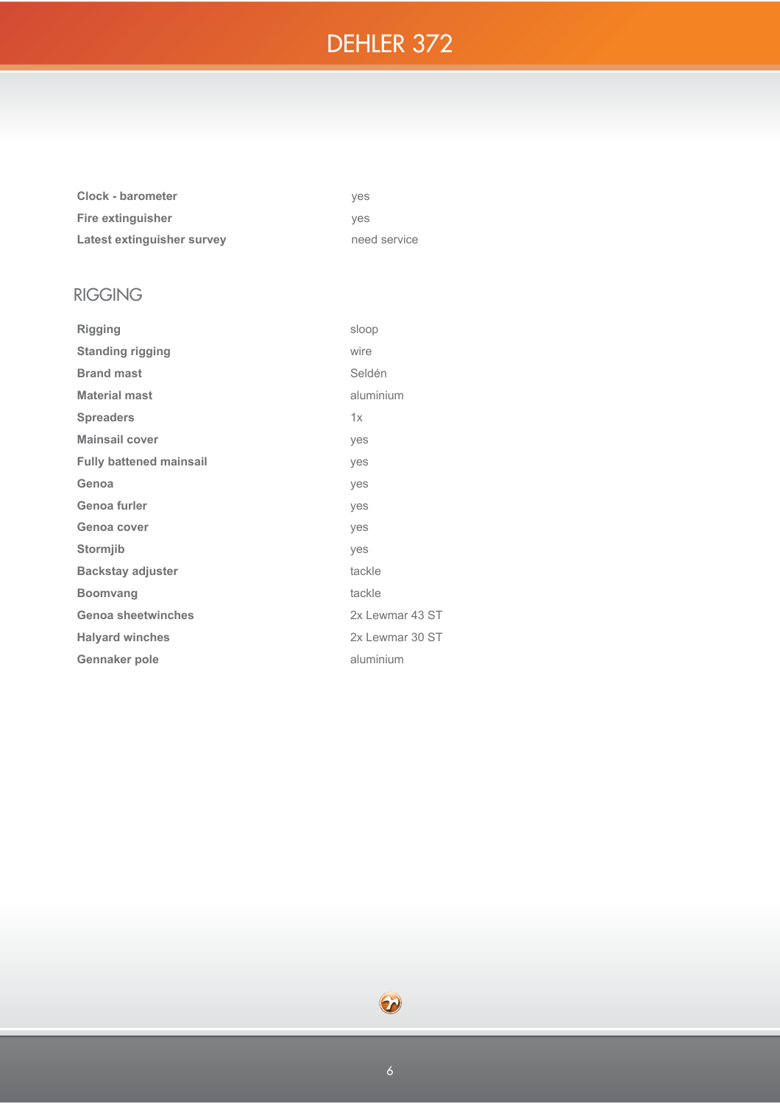| Clock - barometer          | ves          |
|----------------------------|--------------|
| Fire extinguisher          | ves          |
| Latest extinguisher survey | need service |

### **RIGGING**

| <b>Rigging</b>                 | sloop           |
|--------------------------------|-----------------|
| <b>Standing rigging</b>        | wire            |
| <b>Brand mast</b>              | Seldén          |
| <b>Material mast</b>           | aluminium       |
| <b>Spreaders</b>               | 1x              |
| <b>Mainsail cover</b>          | yes             |
| <b>Fully battened mainsail</b> | yes             |
| Genoa                          | yes             |
| Genoa furler                   | yes             |
| Genoa cover                    | yes             |
| Stormjib                       | yes             |
| <b>Backstay adjuster</b>       | tackle          |
| <b>Boomvang</b>                | tackle          |
| <b>Genoa sheetwinches</b>      | 2x Lewmar 43 ST |
| <b>Halyard winches</b>         | 2x Lewmar 30 ST |
| Gennaker pole                  | aluminium       |

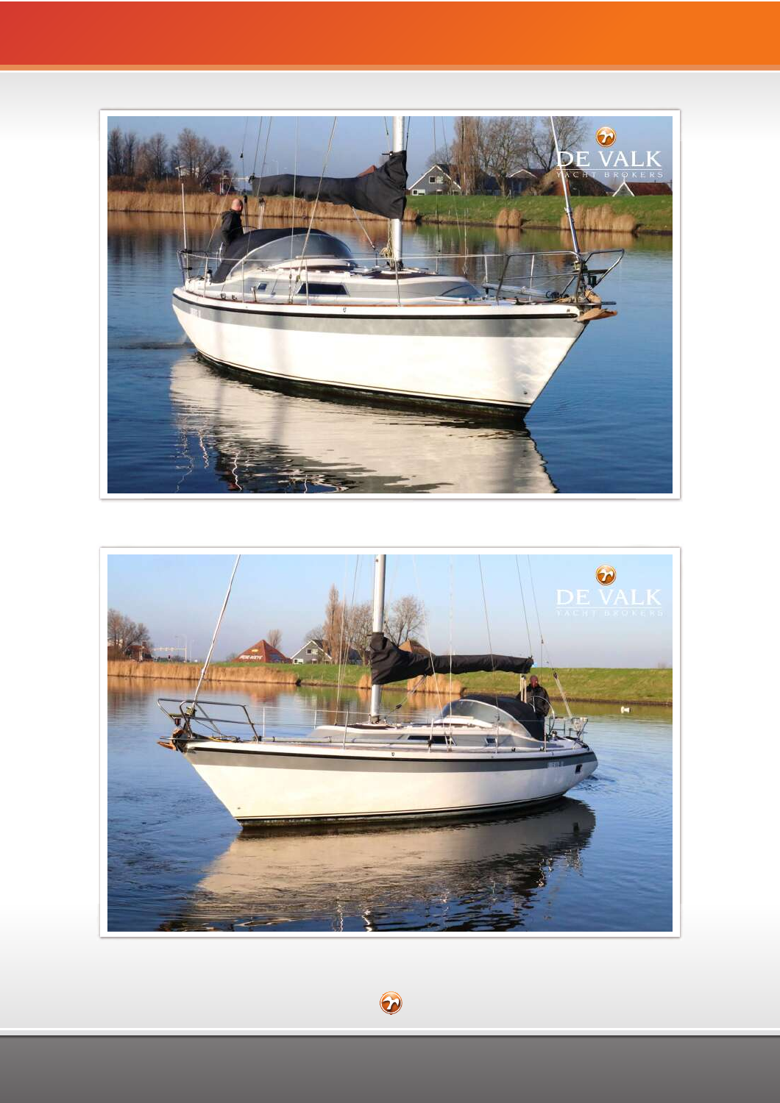# $^{\prime}$  ( + / (5)



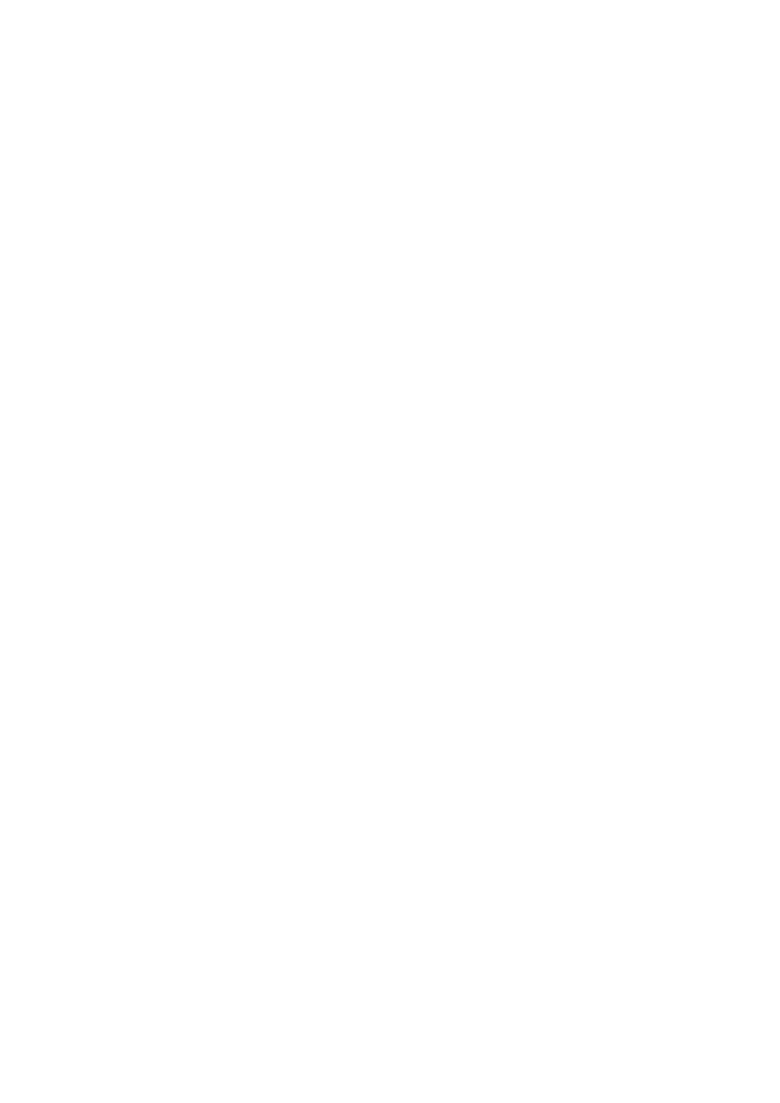| ---- |  |
|------|--|
|      |  |
|      |  |
|      |  |
|      |  |
|      |  |
|      |  |
|      |  |
|      |  |
|      |  |
|      |  |
|      |  |
|      |  |
|      |  |
|      |  |
|      |  |
|      |  |
|      |  |
|      |  |
|      |  |
|      |  |
|      |  |
|      |  |
|      |  |
|      |  |
|      |  |
|      |  |
|      |  |
|      |  |
|      |  |
|      |  |
|      |  |
|      |  |
|      |  |
|      |  |
|      |  |
|      |  |
|      |  |
|      |  |
|      |  |
|      |  |
|      |  |
|      |  |
|      |  |
|      |  |
|      |  |
|      |  |
|      |  |
|      |  |
|      |  |
|      |  |
|      |  |
|      |  |
|      |  |
|      |  |
|      |  |
|      |  |
|      |  |
|      |  |

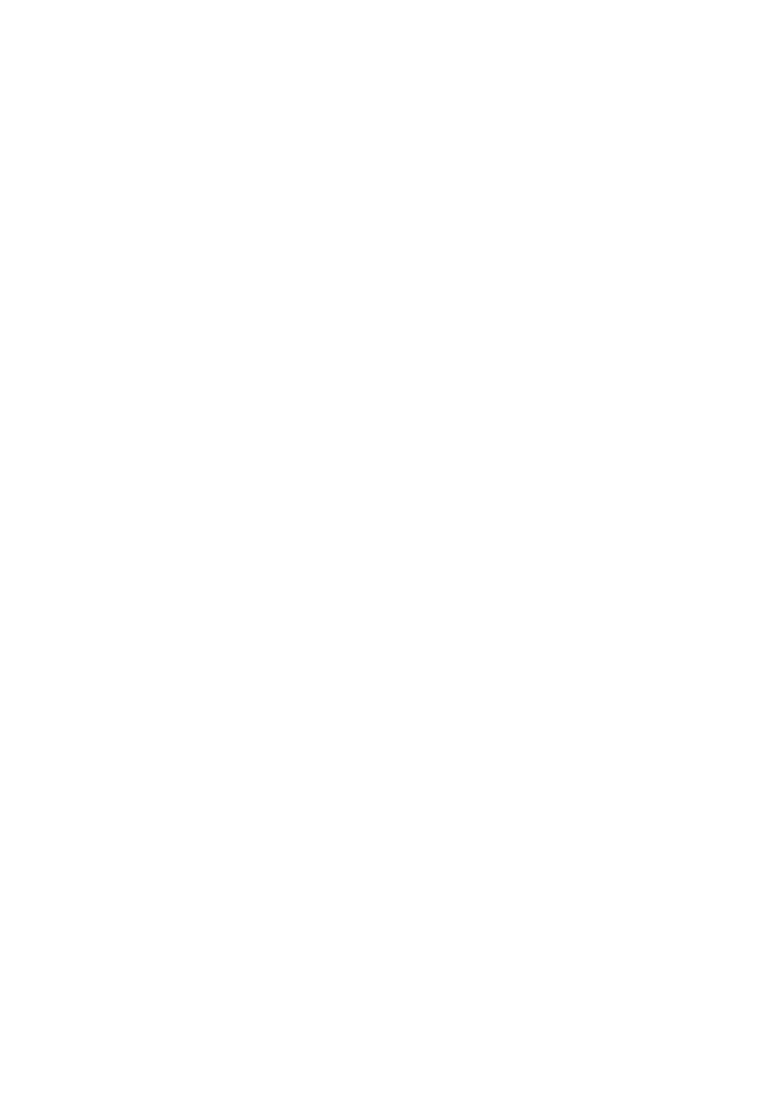| ---- |  |
|------|--|
|      |  |
|      |  |
|      |  |
|      |  |
|      |  |
|      |  |
|      |  |
|      |  |
|      |  |
|      |  |
|      |  |
|      |  |
|      |  |
|      |  |
|      |  |
|      |  |
|      |  |
|      |  |
|      |  |
|      |  |
|      |  |
|      |  |
|      |  |
|      |  |
|      |  |
|      |  |
|      |  |
|      |  |
|      |  |
|      |  |
|      |  |
|      |  |
|      |  |
|      |  |
|      |  |
|      |  |
|      |  |
|      |  |
|      |  |
|      |  |
|      |  |
|      |  |
|      |  |
|      |  |
|      |  |
|      |  |
|      |  |
|      |  |
|      |  |
|      |  |
|      |  |
|      |  |
|      |  |
|      |  |
|      |  |
|      |  |
|      |  |
|      |  |

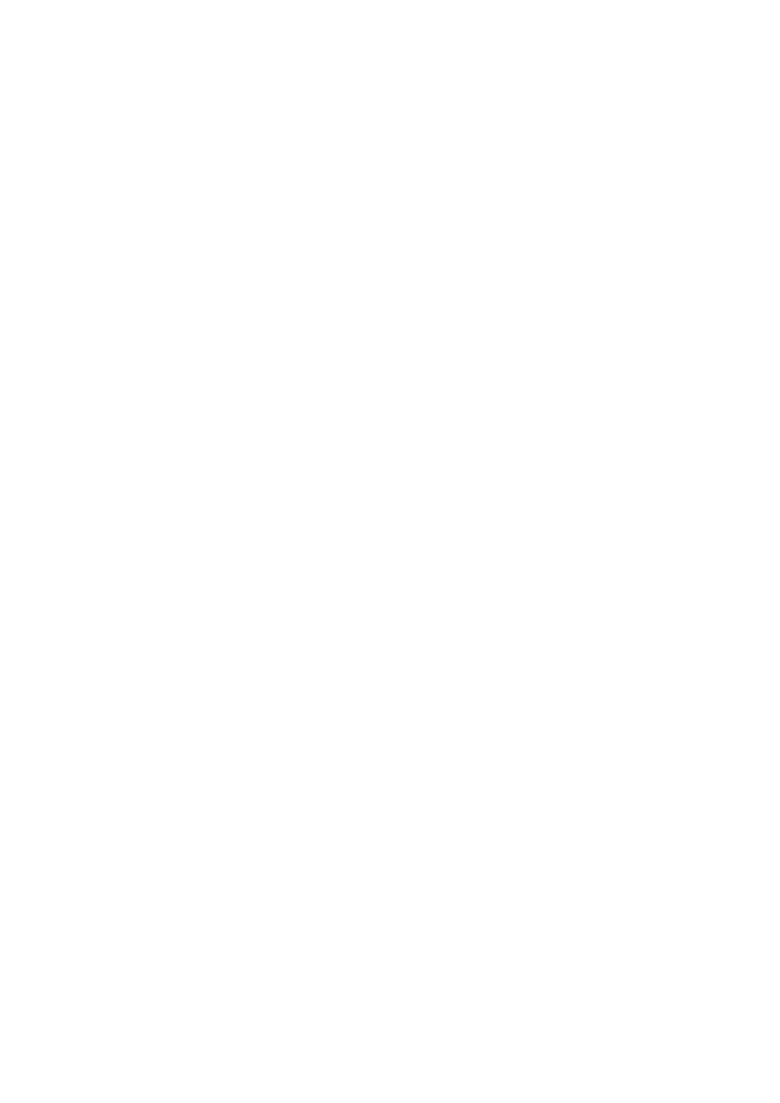| ---- |  |
|------|--|
|      |  |
|      |  |
|      |  |
|      |  |
|      |  |
|      |  |
|      |  |
|      |  |
|      |  |
|      |  |
|      |  |
|      |  |
|      |  |
|      |  |
|      |  |
|      |  |
|      |  |
|      |  |
|      |  |
|      |  |
|      |  |
|      |  |
|      |  |
|      |  |
|      |  |
|      |  |
|      |  |
|      |  |
|      |  |
|      |  |
|      |  |
|      |  |
|      |  |
|      |  |
|      |  |
|      |  |
|      |  |
|      |  |
|      |  |
|      |  |
|      |  |
|      |  |
|      |  |
|      |  |
|      |  |
|      |  |
|      |  |
|      |  |
|      |  |
|      |  |
|      |  |
|      |  |
|      |  |
|      |  |
|      |  |
|      |  |
|      |  |
|      |  |

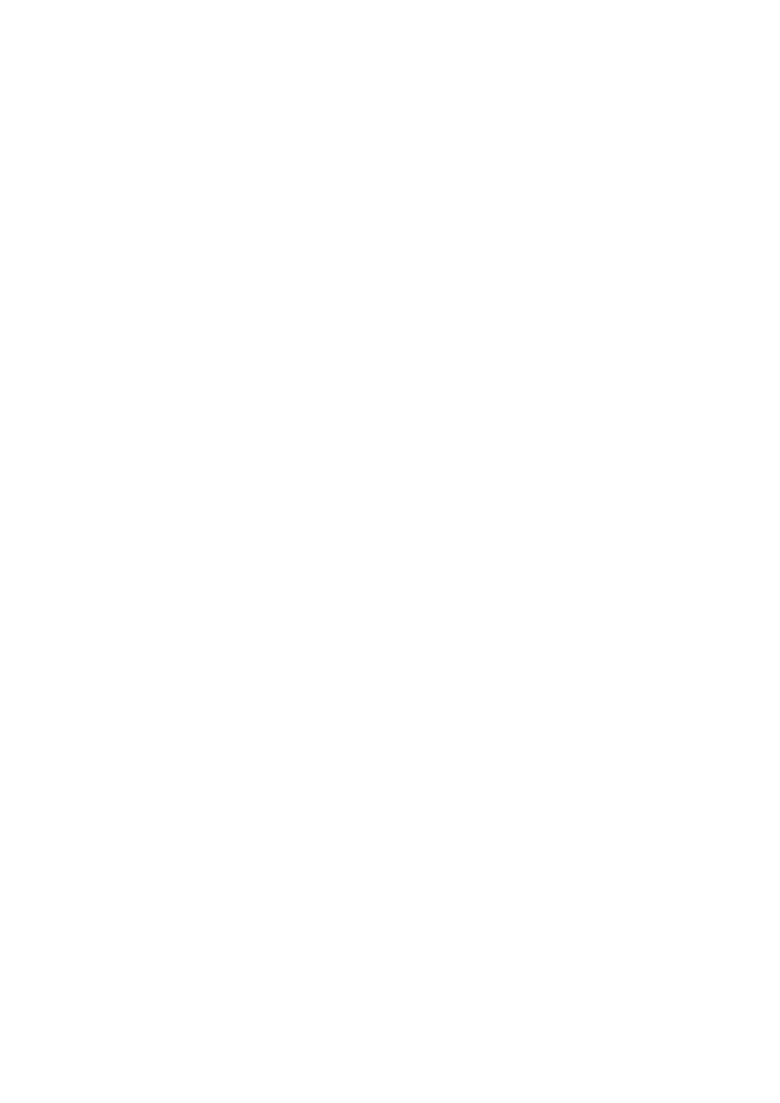| ---- |  |
|------|--|
|      |  |
|      |  |
|      |  |
|      |  |
|      |  |
|      |  |
|      |  |
|      |  |
|      |  |
|      |  |
|      |  |
|      |  |
|      |  |
|      |  |
|      |  |
|      |  |
|      |  |
|      |  |
|      |  |
|      |  |
|      |  |
|      |  |
|      |  |
|      |  |
|      |  |
|      |  |
|      |  |
|      |  |
|      |  |
|      |  |
|      |  |
|      |  |
|      |  |
|      |  |
|      |  |
|      |  |
|      |  |
|      |  |
|      |  |
|      |  |
|      |  |
|      |  |
|      |  |
|      |  |
|      |  |
|      |  |
|      |  |
|      |  |
|      |  |
|      |  |
|      |  |
|      |  |
|      |  |
|      |  |
|      |  |
|      |  |
|      |  |
|      |  |

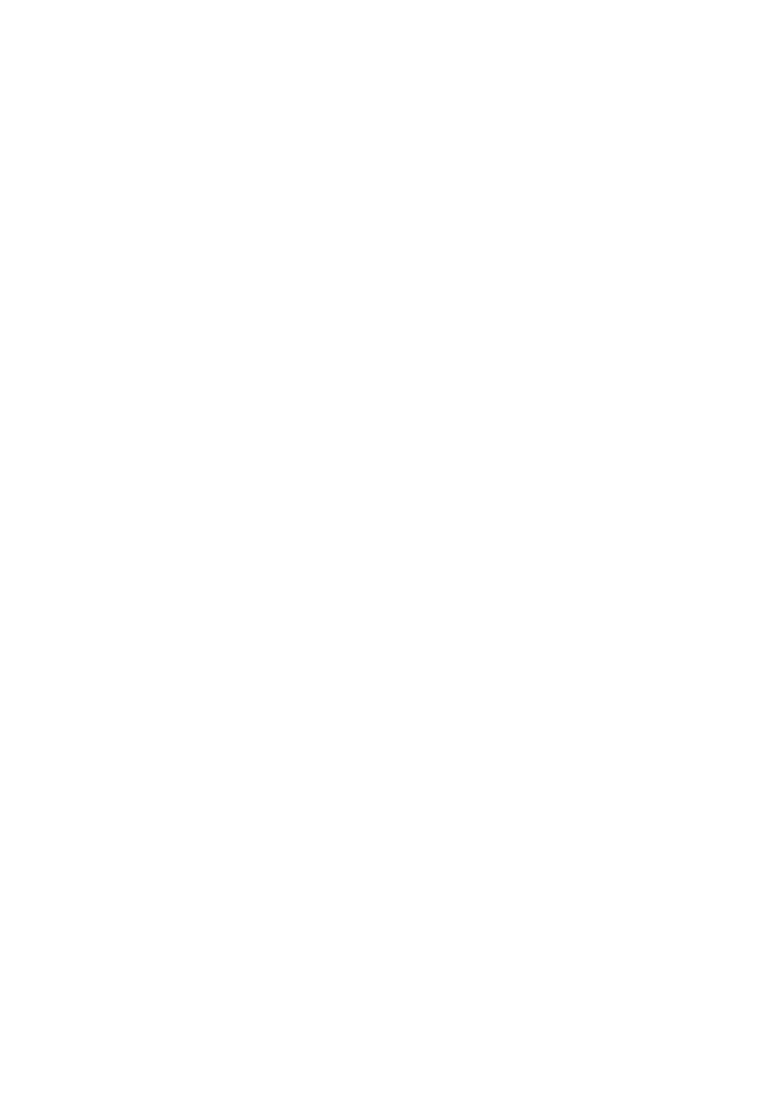| ---- |  |
|------|--|
|      |  |
|      |  |
|      |  |
|      |  |
|      |  |
|      |  |
|      |  |
|      |  |
|      |  |
|      |  |
|      |  |
|      |  |
|      |  |
|      |  |
|      |  |
|      |  |
|      |  |
|      |  |
|      |  |
|      |  |
|      |  |
|      |  |
|      |  |
|      |  |
|      |  |
|      |  |
|      |  |
|      |  |
|      |  |
|      |  |
|      |  |
|      |  |
|      |  |
|      |  |
|      |  |
|      |  |
|      |  |
|      |  |
|      |  |
|      |  |
|      |  |
|      |  |
|      |  |
|      |  |
|      |  |
|      |  |
|      |  |
|      |  |
|      |  |
|      |  |
|      |  |
|      |  |
|      |  |
|      |  |
|      |  |
|      |  |
|      |  |
|      |  |

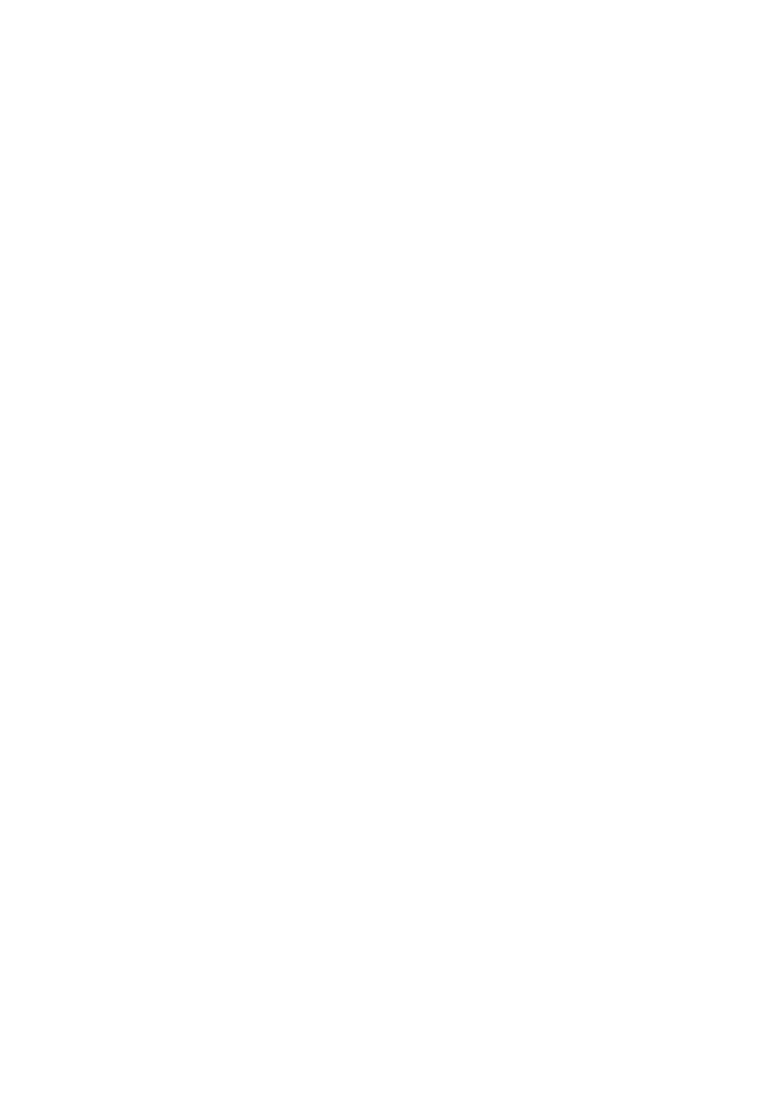| ---- |  |
|------|--|
|      |  |
|      |  |
|      |  |
|      |  |
|      |  |
|      |  |
|      |  |
|      |  |
|      |  |
|      |  |
|      |  |
|      |  |
|      |  |
|      |  |
|      |  |
|      |  |
|      |  |
|      |  |
|      |  |
|      |  |
|      |  |
|      |  |
|      |  |
|      |  |
|      |  |
|      |  |
|      |  |
|      |  |
|      |  |
|      |  |
|      |  |
|      |  |
|      |  |
|      |  |
|      |  |
|      |  |
|      |  |
|      |  |
|      |  |
|      |  |
|      |  |
|      |  |
|      |  |
|      |  |
|      |  |
|      |  |
|      |  |
|      |  |
|      |  |
|      |  |
|      |  |
|      |  |
|      |  |
|      |  |
|      |  |
|      |  |
|      |  |
|      |  |

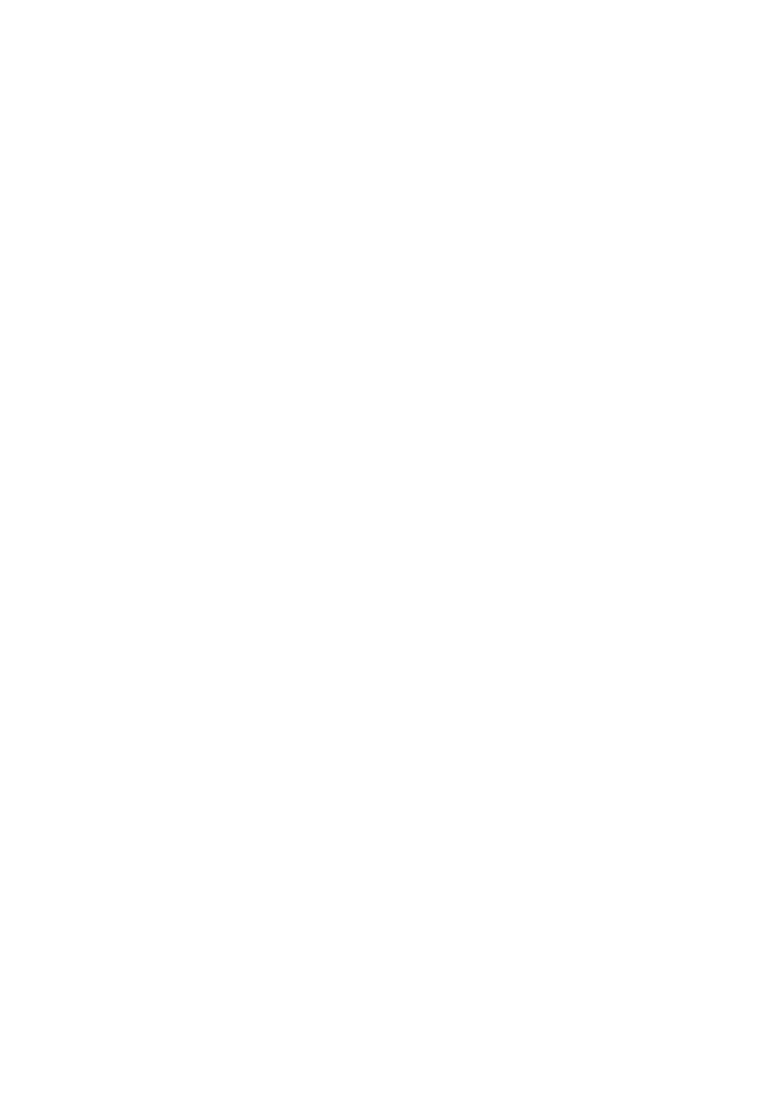| ---- |  |
|------|--|
|      |  |
|      |  |
|      |  |
|      |  |
|      |  |
|      |  |
|      |  |
|      |  |
|      |  |
|      |  |
|      |  |
|      |  |
|      |  |
|      |  |
|      |  |
|      |  |
|      |  |
|      |  |
|      |  |
|      |  |
|      |  |
|      |  |
|      |  |
|      |  |
|      |  |
|      |  |
|      |  |
|      |  |
|      |  |
|      |  |
|      |  |
|      |  |
|      |  |
|      |  |
|      |  |
|      |  |
|      |  |
|      |  |
|      |  |
|      |  |
|      |  |
|      |  |
|      |  |
|      |  |
|      |  |
|      |  |
|      |  |
|      |  |
|      |  |
|      |  |
|      |  |
|      |  |
|      |  |
|      |  |
|      |  |
|      |  |
|      |  |
|      |  |

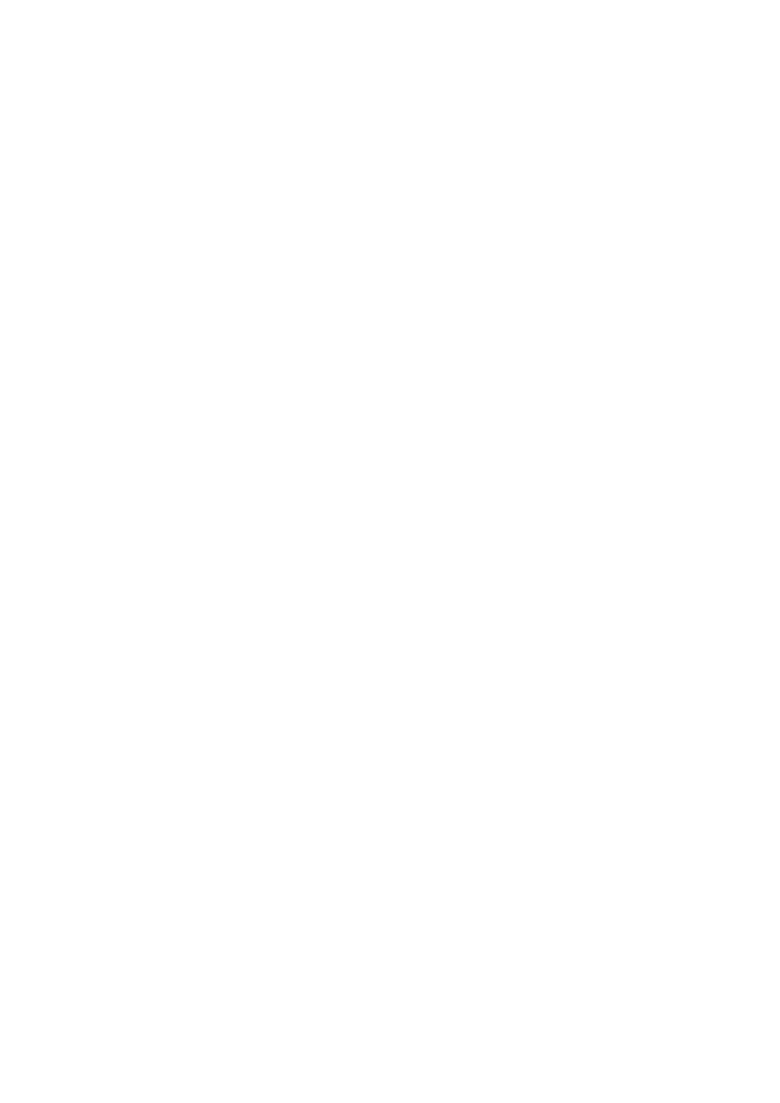| ---- |  |
|------|--|
|      |  |
|      |  |
|      |  |
|      |  |
|      |  |
|      |  |
|      |  |
|      |  |
|      |  |
|      |  |
|      |  |
|      |  |
|      |  |
|      |  |
|      |  |
|      |  |
|      |  |
|      |  |
|      |  |
|      |  |
|      |  |
|      |  |
|      |  |
|      |  |
|      |  |
|      |  |
|      |  |
|      |  |
|      |  |
|      |  |
|      |  |
|      |  |
|      |  |
|      |  |
|      |  |
|      |  |
|      |  |
|      |  |
|      |  |
|      |  |
|      |  |
|      |  |
|      |  |
|      |  |
|      |  |
|      |  |
|      |  |
|      |  |
|      |  |
|      |  |
|      |  |
|      |  |
|      |  |
|      |  |
|      |  |
|      |  |
|      |  |
|      |  |

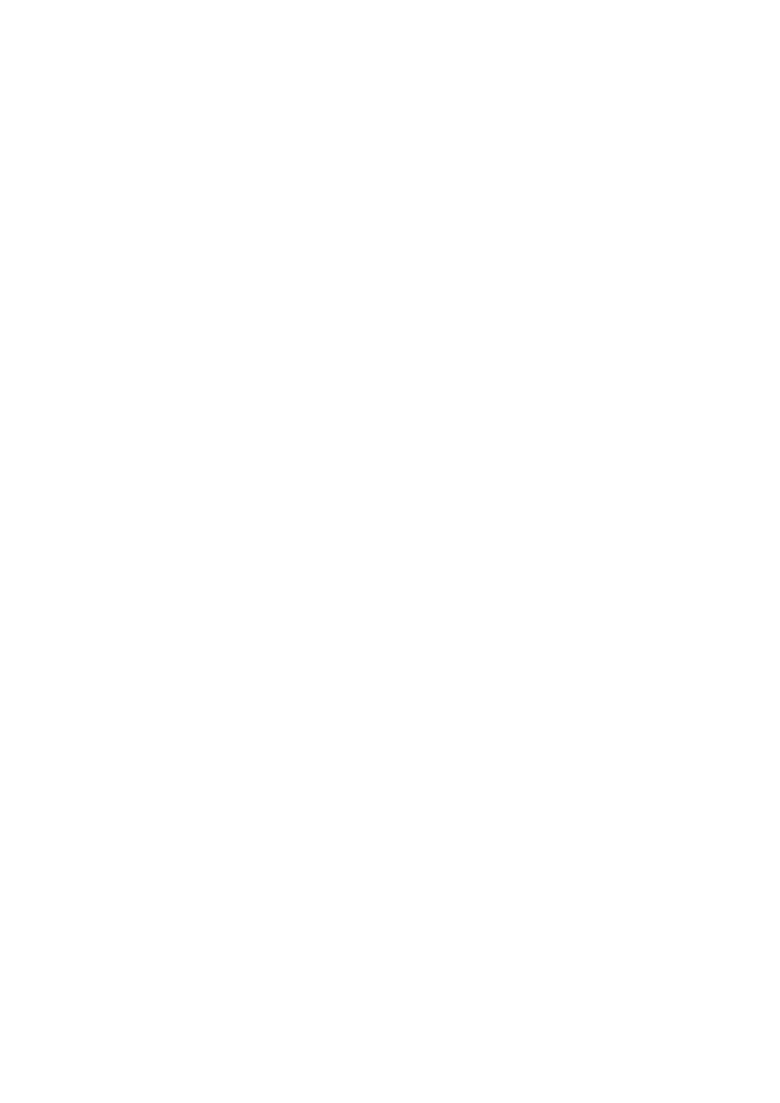| ---- |  |
|------|--|
|      |  |
|      |  |
|      |  |
|      |  |
|      |  |
|      |  |
|      |  |
|      |  |
|      |  |
|      |  |
|      |  |
|      |  |
|      |  |
|      |  |
|      |  |
|      |  |
|      |  |
|      |  |
|      |  |
|      |  |
|      |  |
|      |  |
|      |  |
|      |  |
|      |  |
|      |  |
|      |  |
|      |  |
|      |  |
|      |  |
|      |  |
|      |  |
|      |  |
|      |  |
|      |  |
|      |  |
|      |  |
|      |  |
|      |  |
|      |  |
|      |  |
|      |  |
|      |  |
|      |  |
|      |  |
|      |  |
|      |  |
|      |  |
|      |  |
|      |  |
|      |  |
|      |  |
|      |  |
|      |  |
|      |  |
|      |  |
|      |  |
|      |  |

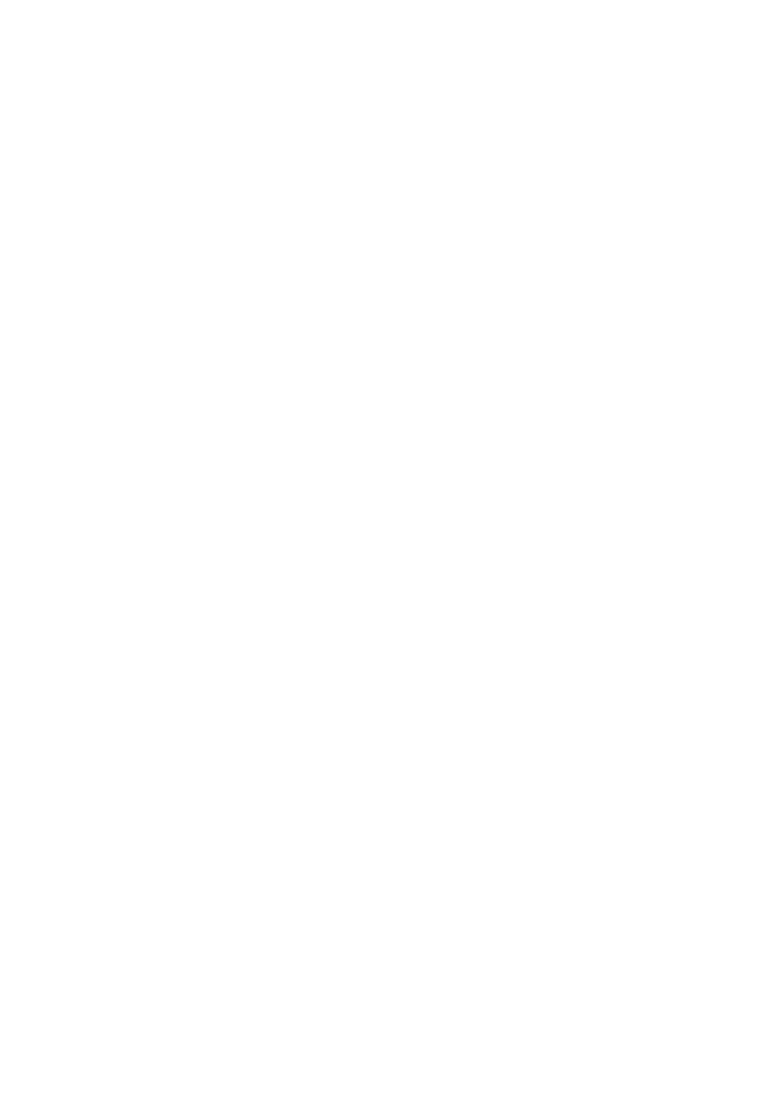| ---- |  |
|------|--|
|      |  |
|      |  |
|      |  |
|      |  |
|      |  |
|      |  |
|      |  |
|      |  |
|      |  |
|      |  |
|      |  |
|      |  |
|      |  |
|      |  |
|      |  |
|      |  |
|      |  |
|      |  |
|      |  |
|      |  |
|      |  |
|      |  |
|      |  |
|      |  |
|      |  |
|      |  |
|      |  |
|      |  |
|      |  |
|      |  |
|      |  |
|      |  |
|      |  |
|      |  |
|      |  |
|      |  |
|      |  |
|      |  |
|      |  |
|      |  |
|      |  |
|      |  |
|      |  |
|      |  |
|      |  |
|      |  |
|      |  |
|      |  |
|      |  |
|      |  |
|      |  |
|      |  |
|      |  |
|      |  |
|      |  |
|      |  |
|      |  |
|      |  |

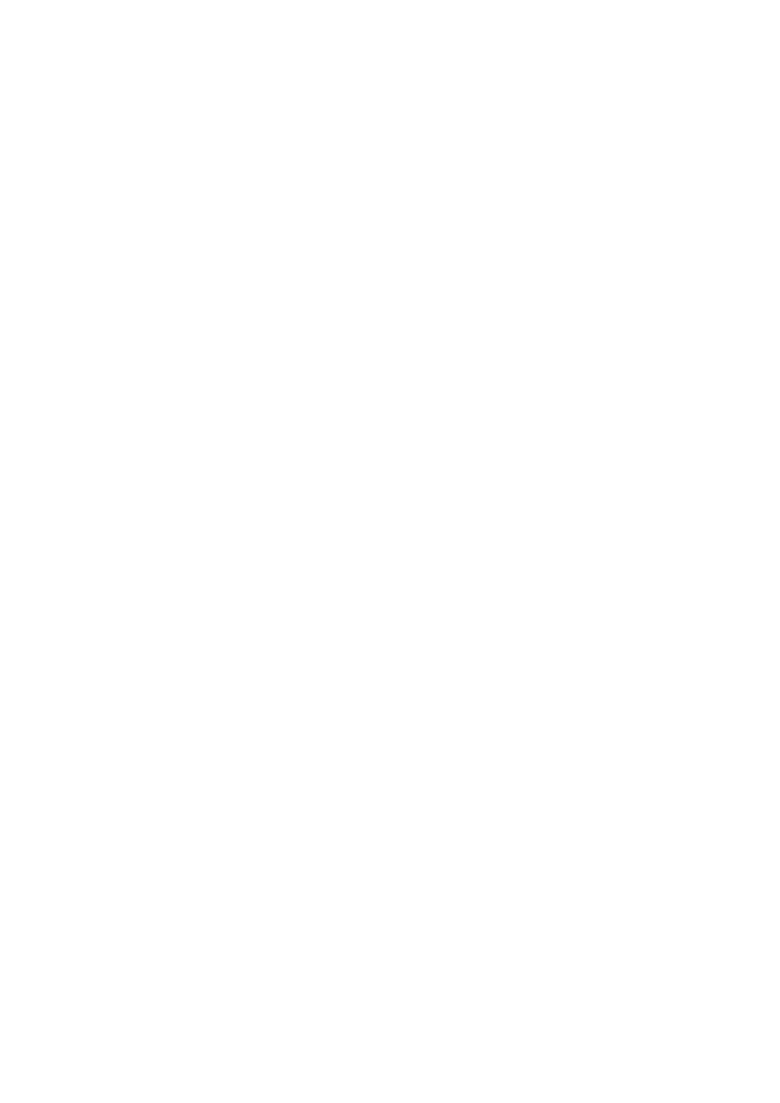| ---- |  |
|------|--|
|      |  |
|      |  |
|      |  |
|      |  |
|      |  |
|      |  |
|      |  |
|      |  |
|      |  |
|      |  |
|      |  |
|      |  |
|      |  |
|      |  |
|      |  |
|      |  |
|      |  |
|      |  |
|      |  |
|      |  |
|      |  |
|      |  |
|      |  |
|      |  |
|      |  |
|      |  |
|      |  |
|      |  |
|      |  |
|      |  |
|      |  |
|      |  |
|      |  |
|      |  |
|      |  |
|      |  |
|      |  |
|      |  |
|      |  |
|      |  |
|      |  |
|      |  |
|      |  |
|      |  |
|      |  |
|      |  |
|      |  |
|      |  |
|      |  |
|      |  |
|      |  |
|      |  |
|      |  |
|      |  |
|      |  |
|      |  |
|      |  |
|      |  |

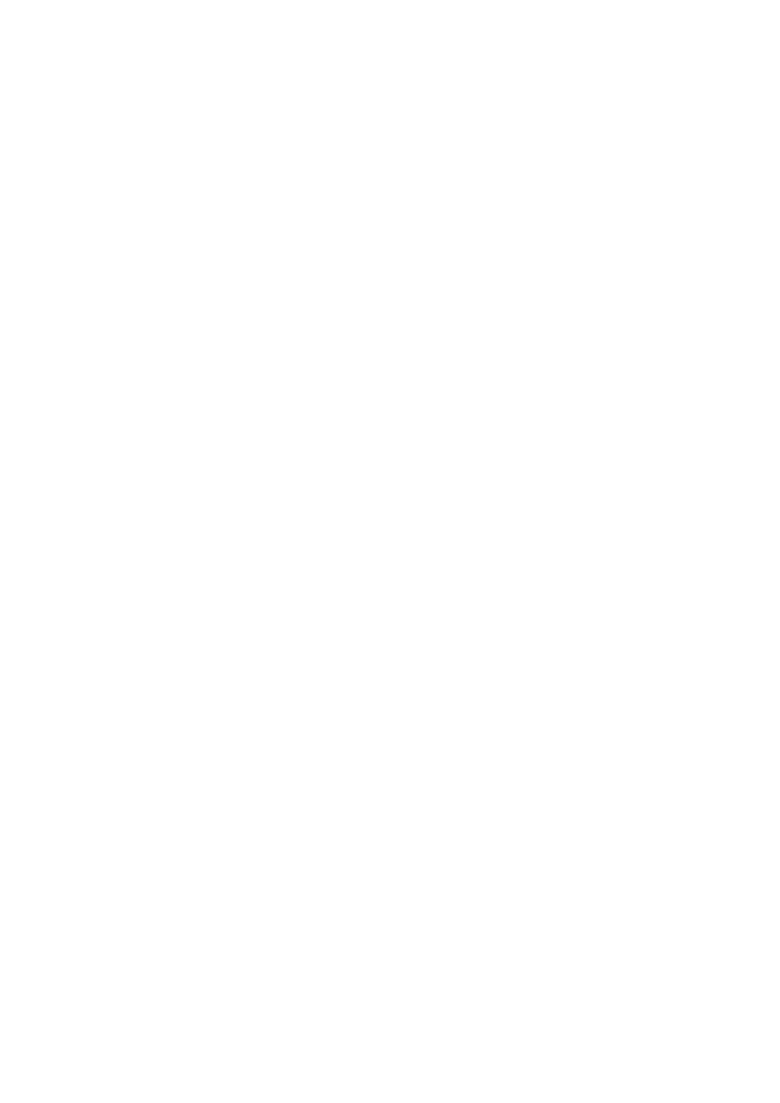| ---- |  |
|------|--|
|      |  |
|      |  |
|      |  |
|      |  |
|      |  |
|      |  |
|      |  |
|      |  |
|      |  |
|      |  |
|      |  |
|      |  |
|      |  |
|      |  |
|      |  |
|      |  |
|      |  |
|      |  |
|      |  |
|      |  |
|      |  |
|      |  |
|      |  |
|      |  |
|      |  |
|      |  |
|      |  |
|      |  |
|      |  |
|      |  |
|      |  |
|      |  |
|      |  |
|      |  |
|      |  |
|      |  |
|      |  |
|      |  |
|      |  |
|      |  |
|      |  |
|      |  |
|      |  |
|      |  |
|      |  |
|      |  |
|      |  |
|      |  |
|      |  |
|      |  |
|      |  |
|      |  |
|      |  |
|      |  |
|      |  |
|      |  |
|      |  |
|      |  |

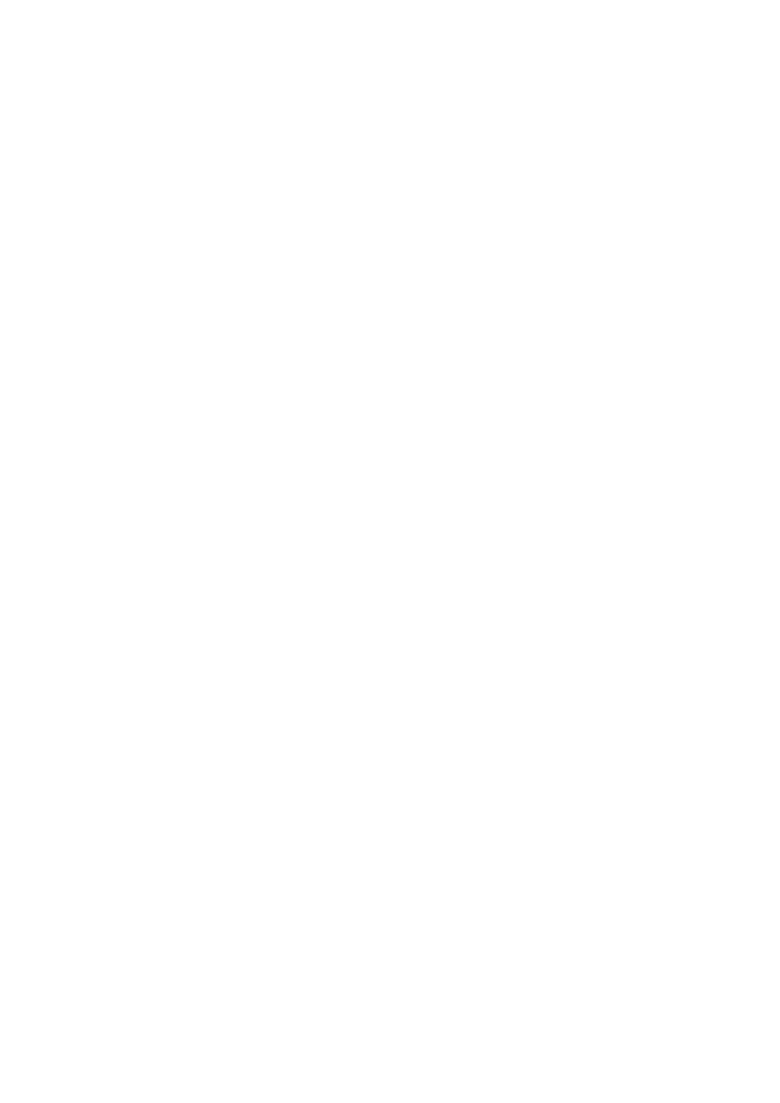| ---- |  |
|------|--|
|      |  |
|      |  |
|      |  |
|      |  |
|      |  |
|      |  |
|      |  |
|      |  |
|      |  |
|      |  |
|      |  |
|      |  |
|      |  |
|      |  |
|      |  |
|      |  |
|      |  |
|      |  |
|      |  |
|      |  |
|      |  |
|      |  |
|      |  |
|      |  |
|      |  |
|      |  |
|      |  |
|      |  |
|      |  |
|      |  |
|      |  |
|      |  |
|      |  |
|      |  |
|      |  |
|      |  |
|      |  |
|      |  |
|      |  |
|      |  |
|      |  |
|      |  |
|      |  |
|      |  |
|      |  |
|      |  |
|      |  |
|      |  |
|      |  |
|      |  |
|      |  |
|      |  |
|      |  |
|      |  |
|      |  |
|      |  |
|      |  |
|      |  |

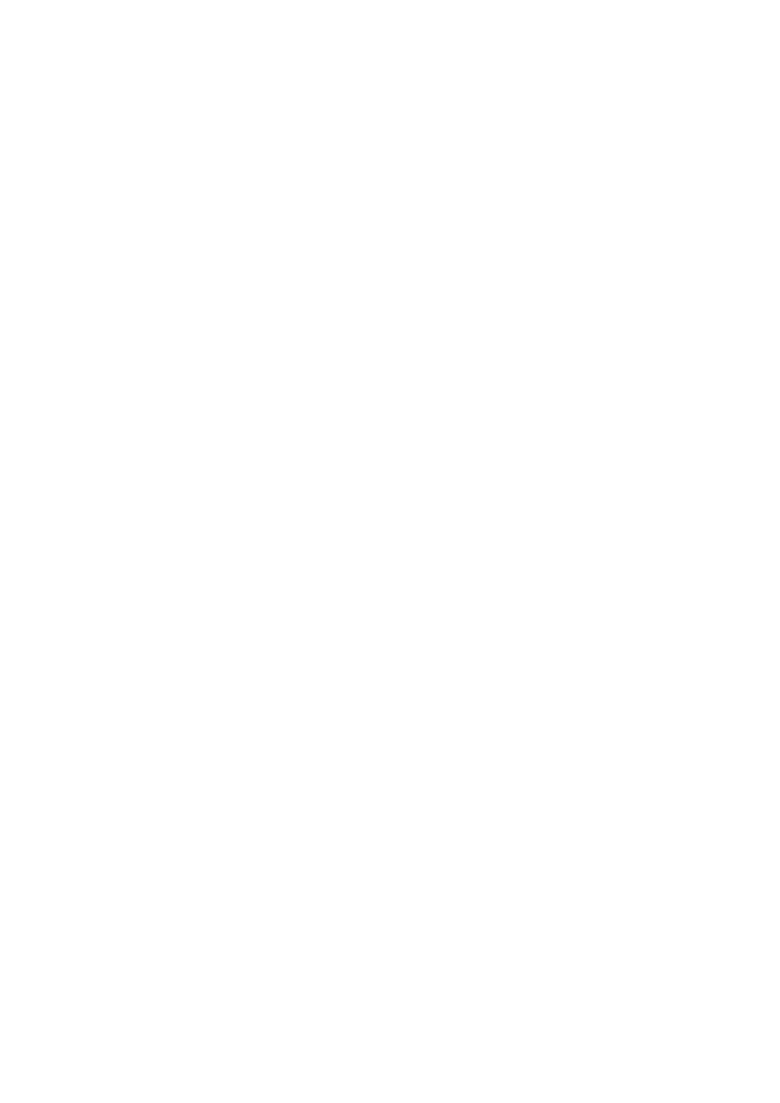| ---- |  |
|------|--|
|      |  |
|      |  |
|      |  |
|      |  |
|      |  |
|      |  |
|      |  |
|      |  |
|      |  |
|      |  |
|      |  |
|      |  |
|      |  |
|      |  |
|      |  |
|      |  |
|      |  |
|      |  |
|      |  |
|      |  |
|      |  |
|      |  |
|      |  |
|      |  |
|      |  |
|      |  |
|      |  |
|      |  |
|      |  |
|      |  |
|      |  |
|      |  |
|      |  |
|      |  |
|      |  |
|      |  |
|      |  |
|      |  |
|      |  |
|      |  |
|      |  |
|      |  |
|      |  |
|      |  |
|      |  |
|      |  |
|      |  |
|      |  |
|      |  |
|      |  |
|      |  |
|      |  |
|      |  |
|      |  |
|      |  |
|      |  |
|      |  |
|      |  |

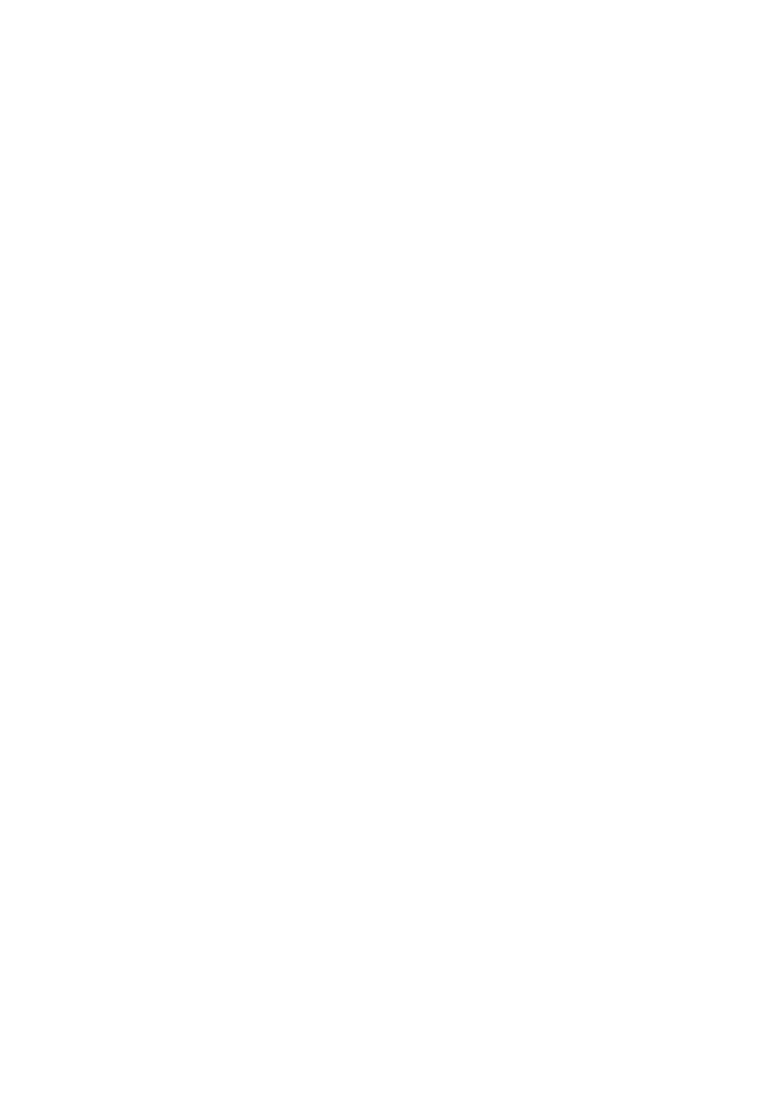| ---- |  |
|------|--|
|      |  |
|      |  |
|      |  |
|      |  |
|      |  |
|      |  |
|      |  |
|      |  |
|      |  |
|      |  |
|      |  |
|      |  |
|      |  |
|      |  |
|      |  |
|      |  |
|      |  |
|      |  |
|      |  |
|      |  |
|      |  |
|      |  |
|      |  |
|      |  |
|      |  |
|      |  |
|      |  |
|      |  |
|      |  |
|      |  |
|      |  |
|      |  |
|      |  |
|      |  |
|      |  |
|      |  |
|      |  |
|      |  |
|      |  |
|      |  |
|      |  |
|      |  |
|      |  |
|      |  |
|      |  |
|      |  |
|      |  |
|      |  |
|      |  |
|      |  |
|      |  |
|      |  |
|      |  |
|      |  |
|      |  |
|      |  |
|      |  |
|      |  |

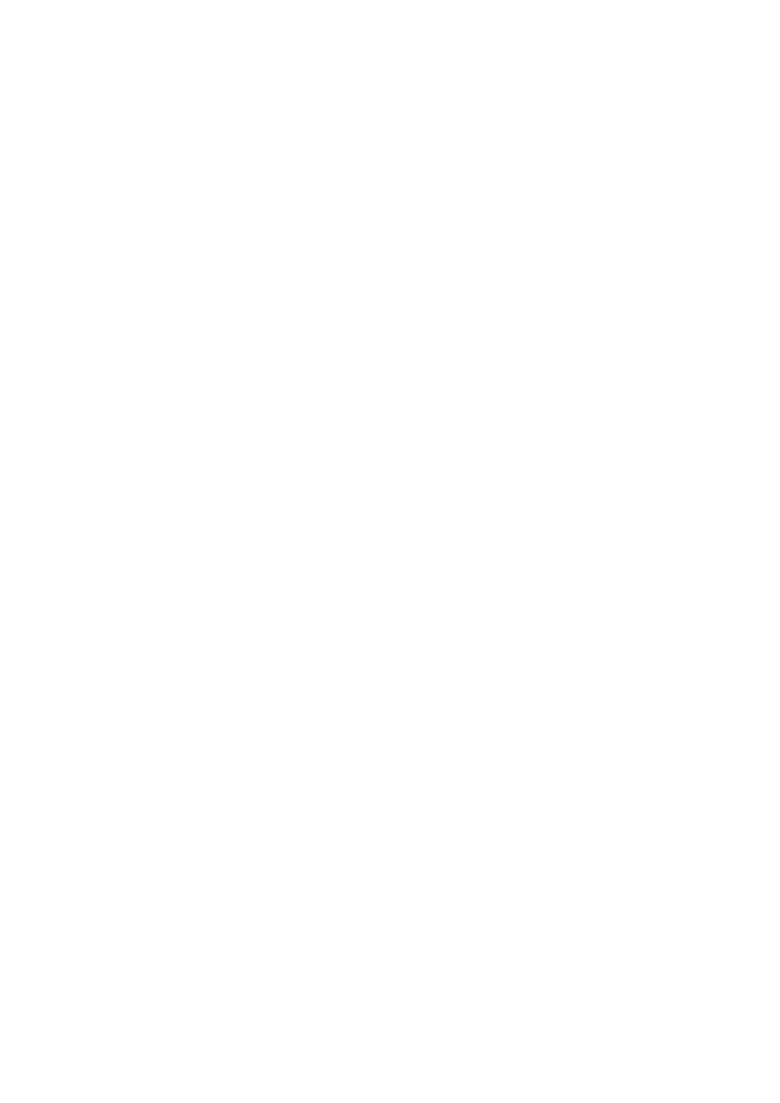| ---- |  |
|------|--|
|      |  |
|      |  |
|      |  |
|      |  |
|      |  |
|      |  |
|      |  |
|      |  |
|      |  |
|      |  |
|      |  |
|      |  |
|      |  |
|      |  |
|      |  |
|      |  |
|      |  |
|      |  |
|      |  |
|      |  |
|      |  |
|      |  |
|      |  |
|      |  |
|      |  |
|      |  |
|      |  |
|      |  |
|      |  |
|      |  |
|      |  |
|      |  |
|      |  |
|      |  |
|      |  |
|      |  |
|      |  |
|      |  |
|      |  |
|      |  |
|      |  |
|      |  |
|      |  |
|      |  |
|      |  |
|      |  |
|      |  |
|      |  |
|      |  |
|      |  |
|      |  |
|      |  |
|      |  |
|      |  |
|      |  |
|      |  |
|      |  |
|      |  |

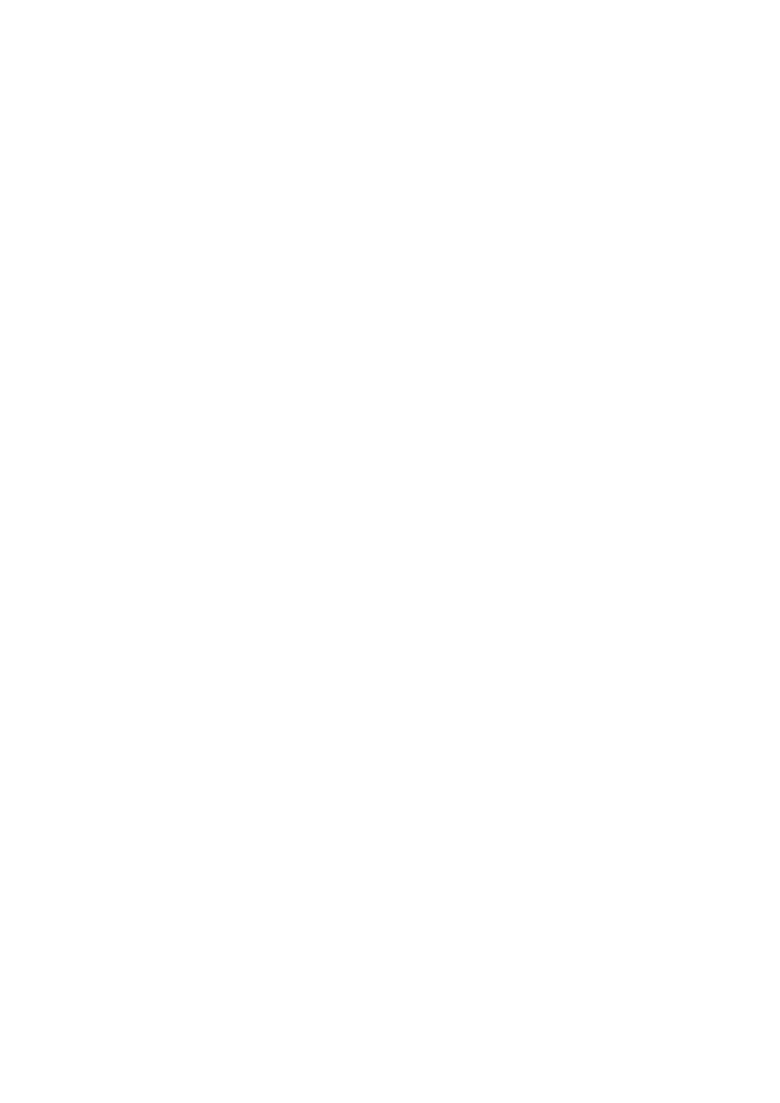| ---- |  |
|------|--|
|      |  |
|      |  |
|      |  |
|      |  |
|      |  |
|      |  |
|      |  |
|      |  |
|      |  |
|      |  |
|      |  |
|      |  |
|      |  |
|      |  |
|      |  |
|      |  |
|      |  |
|      |  |
|      |  |
|      |  |
|      |  |
|      |  |
|      |  |
|      |  |
|      |  |
|      |  |
|      |  |
|      |  |
|      |  |
|      |  |
|      |  |
|      |  |
|      |  |
|      |  |
|      |  |
|      |  |
|      |  |
|      |  |
|      |  |
|      |  |
|      |  |
|      |  |
|      |  |
|      |  |
|      |  |
|      |  |
|      |  |
|      |  |
|      |  |
|      |  |
|      |  |
|      |  |
|      |  |
|      |  |
|      |  |
|      |  |
|      |  |
|      |  |